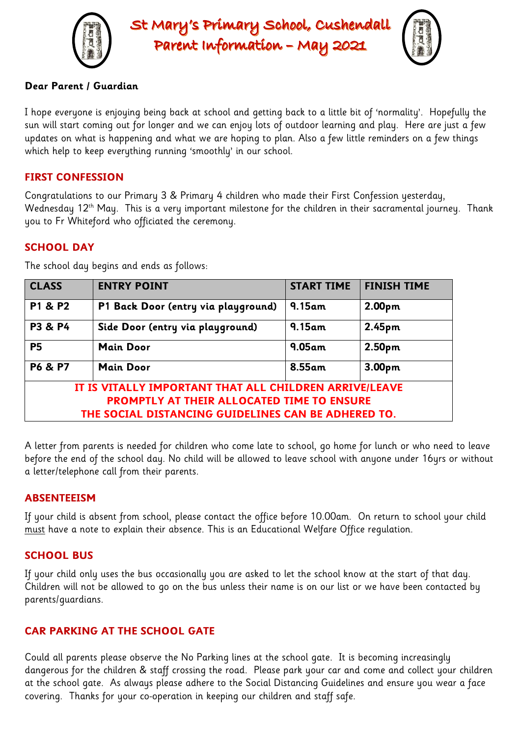

St Mary's Primary School, Cushendall Parent Information - May 2021



## **Dear Parent / Guardian**

I hope everyone is enjoying being back at school and getting back to a little bit of 'normality'. Hopefully the sun will start coming out for longer and we can enjoy lots of outdoor learning and play. Here are just a few updates on what is happening and what we are hoping to plan. Also a few little reminders on a few things which help to keep everything running 'smoothly' in our school.

## **FIRST CONFESSION**

Congratulations to our Primary 3 & Primary 4 children who made their First Confession yesterday, Wednesday 12<sup>th</sup> May. This is a very important milestone for the children in their sacramental journey. Thank you to Fr Whiteford who officiated the ceremony.

# **SCHOOL DAY**

| <b>CLASS</b>                                           | <b>ENTRY POINT</b>                  | <b>START TIME</b> | <b>FINISH TIME</b> |
|--------------------------------------------------------|-------------------------------------|-------------------|--------------------|
| P1 & P2                                                | P1 Back Door (entry via playground) | $9.15$ am         | 2.00pm             |
| <b>P3 &amp; P4</b>                                     | Side Door (entry via playground)    | $9.15$ am         | 2.45 <sub>pm</sub> |
| <b>P5</b>                                              | <b>Main Door</b>                    | $9.05$ am         | 2.50pm             |
| <b>P6 &amp; P7</b>                                     | <b>Main Door</b>                    | 8.55am            | 3.00 <sub>pm</sub> |
| IT IS VITALLY IMPORTANT THAT ALL CHILDREN ARRIVE/LEAVE |                                     |                   |                    |
| <b>PROMPTLY AT THEIR ALLOCATED TIME TO ENSURE</b>      |                                     |                   |                    |
| THE SOCIAL DISTANCING GUIDELINES CAN BE ADHERED TO.    |                                     |                   |                    |

The school day begins and ends as follows:

A letter from parents is needed for children who come late to school, go home for lunch or who need to leave before the end of the school day. No child will be allowed to leave school with anyone under 16yrs or without a letter/telephone call from their parents.

## **ABSENTEEISM**

If your child is absent from school, please contact the office before 10.00am. On return to school your child must have a note to explain their absence. This is an Educational Welfare Office regulation.

## **SCHOOL BUS**

If your child only uses the bus occasionally you are asked to let the school know at the start of that day. Children will not be allowed to go on the bus unless their name is on our list or we have been contacted by parents/guardians.

# **CAR PARKING AT THE SCHOOL GATE**

Could all parents please observe the No Parking lines at the school gate. It is becoming increasingly dangerous for the children & staff crossing the road. Please park your car and come and collect your children at the school gate. As always please adhere to the Social Distancing Guidelines and ensure you wear a face covering. Thanks for your co-operation in keeping our children and staff safe.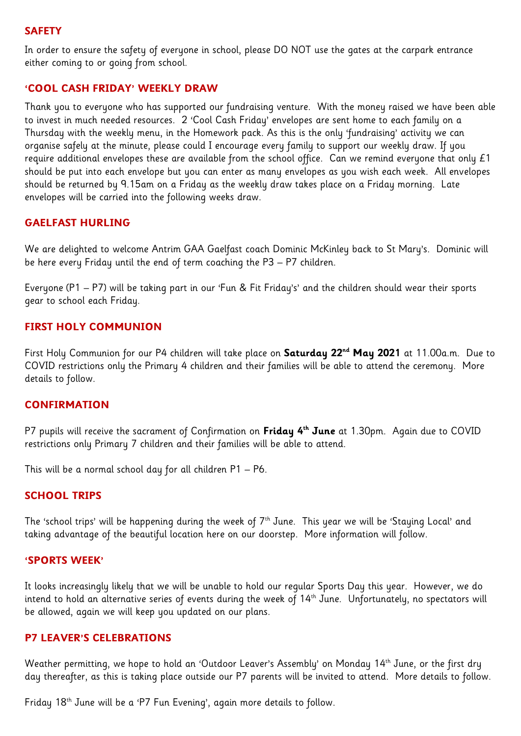### **SAFETY**

In order to ensure the safety of everyone in school, please DO NOT use the gates at the carpark entrance either coming to or going from school.

#### **'COOL CASH FRIDAY' WEEKLY DRAW**

Thank you to everyone who has supported our fundraising venture. With the money raised we have been able to invest in much needed resources. 2 'Cool Cash Friday' envelopes are sent home to each family on a Thursday with the weekly menu, in the Homework pack. As this is the only 'fundraising' activity we can organise safely at the minute, please could I encourage every family to support our weekly draw. If you require additional envelopes these are available from the school office. Can we remind everyone that only £1 should be put into each envelope but you can enter as many envelopes as you wish each week. All envelopes should be returned by 9.15am on a Friday as the weekly draw takes place on a Friday morning. Late envelopes will be carried into the following weeks draw.

## **GAELFAST HURLING**

We are delighted to welcome Antrim GAA Gaelfast coach Dominic McKinley back to St Mary's. Dominic will be here every Friday until the end of term coaching the P3 – P7 children.

Everyone (P1 – P7) will be taking part in our 'Fun & Fit Friday's' and the children should wear their sports gear to school each Friday.

## **FIRST HOLY COMMUNION**

First Holy Communion for our P4 children will take place on **Saturday 22nd May 2021** at 11.00a.m. Due to COVID restrictions only the Primary 4 children and their families will be able to attend the ceremony. More details to follow.

#### **CONFIRMATION**

P7 pupils will receive the sacrament of Confirmation on **Friday 4th June** at 1.30pm. Again due to COVID restrictions only Primary 7 children and their families will be able to attend.

This will be a normal school day for all children P1 – P6.

#### **SCHOOL TRIPS**

The 'school trips' will be happening during the week of  $7<sup>th</sup>$  June. This year we will be 'Staying Local' and taking advantage of the beautiful location here on our doorstep. More information will follow.

#### **'SPORTS WEEK'**

It looks increasingly likely that we will be unable to hold our regular Sports Day this year. However, we do intend to hold an alternative series of events during the week of 14th June. Unfortunately, no spectators will be allowed, again we will keep you updated on our plans.

#### **P7 LEAVER'S CELEBRATIONS**

Weather permitting, we hope to hold an 'Outdoor Leaver's Assembly' on Monday 14<sup>th</sup> June, or the first dry day thereafter, as this is taking place outside our P7 parents will be invited to attend. More details to follow.

Friday 18th June will be a 'P7 Fun Evening', again more details to follow.